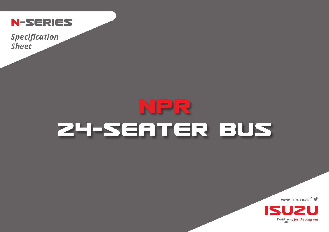

*Specification Sheet*

## **NPR 24-SEATER BUS**

**www.isuzu.co.za**